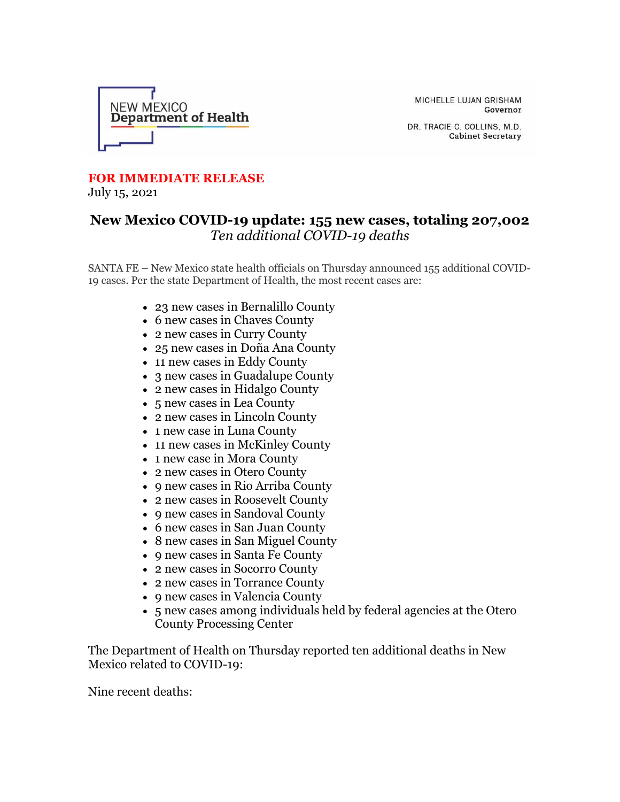

MICHELLE LUJAN GRISHAM Governor

DR. TRACIE C. COLLINS, M.D. **Cabinet Secretary** 

## **FOR IMMEDIATE RELEASE**

July 15, 2021

## **New Mexico COVID-19 update: 155 new cases, totaling 207,002** *Ten additional COVID-19 deaths*

SANTA FE – New Mexico state health officials on Thursday announced 155 additional COVID-19 cases. Per the state Department of Health, the most recent cases are:

- 23 new cases in Bernalillo County
- 6 new cases in Chaves County
- 2 new cases in Curry County
- 25 new cases in Doña Ana County
- 11 new cases in Eddy County
- 3 new cases in Guadalupe County
- 2 new cases in Hidalgo County
- 5 new cases in Lea County
- 2 new cases in Lincoln County
- 1 new case in Luna County
- 11 new cases in McKinley County
- 1 new case in Mora County
- 2 new cases in Otero County
- 9 new cases in Rio Arriba County
- 2 new cases in Roosevelt County
- 9 new cases in Sandoval County
- 6 new cases in San Juan County
- 8 new cases in San Miguel County
- 9 new cases in Santa Fe County
- 2 new cases in Socorro County
- 2 new cases in Torrance County
- 9 new cases in Valencia County
- 5 new cases among individuals held by federal agencies at the Otero County Processing Center

The Department of Health on Thursday reported ten additional deaths in New Mexico related to COVID-19:

Nine recent deaths: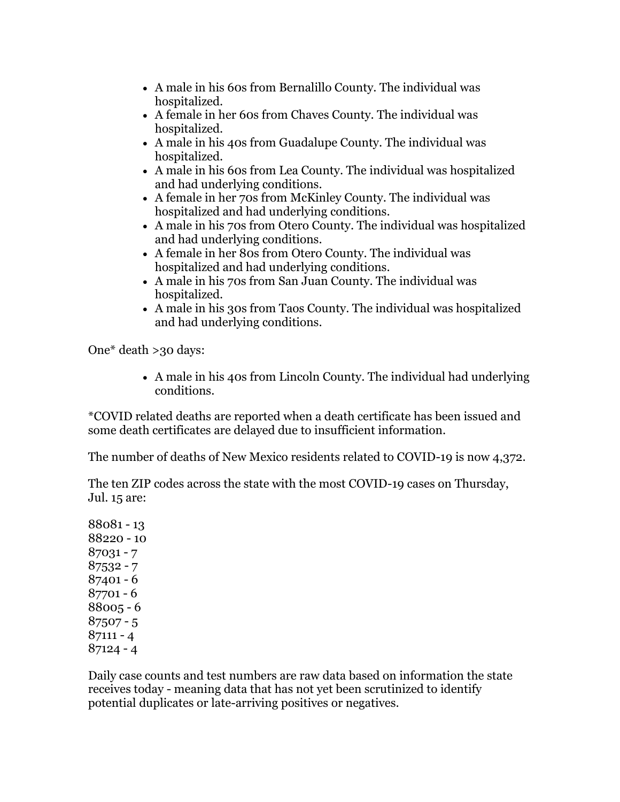- A male in his 60s from Bernalillo County. The individual was hospitalized.
- A female in her 60s from Chaves County. The individual was hospitalized.
- A male in his 40s from Guadalupe County. The individual was hospitalized.
- A male in his 60s from Lea County. The individual was hospitalized and had underlying conditions.
- A female in her 70s from McKinley County. The individual was hospitalized and had underlying conditions.
- A male in his 70s from Otero County. The individual was hospitalized and had underlying conditions.
- A female in her 80s from Otero County. The individual was hospitalized and had underlying conditions.
- A male in his 70s from San Juan County. The individual was hospitalized.
- A male in his 30s from Taos County. The individual was hospitalized and had underlying conditions.

One\* death >30 days:

• A male in his 40s from Lincoln County. The individual had underlying conditions.

\*COVID related deaths are reported when a death certificate has been issued and some death certificates are delayed due to insufficient information.

The number of deaths of New Mexico residents related to COVID-19 is now 4,372.

The ten ZIP codes across the state with the most COVID-19 cases on Thursday, Jul. 15 are:

Daily case counts and test numbers are raw data based on information the state receives today - meaning data that has not yet been scrutinized to identify potential duplicates or late-arriving positives or negatives.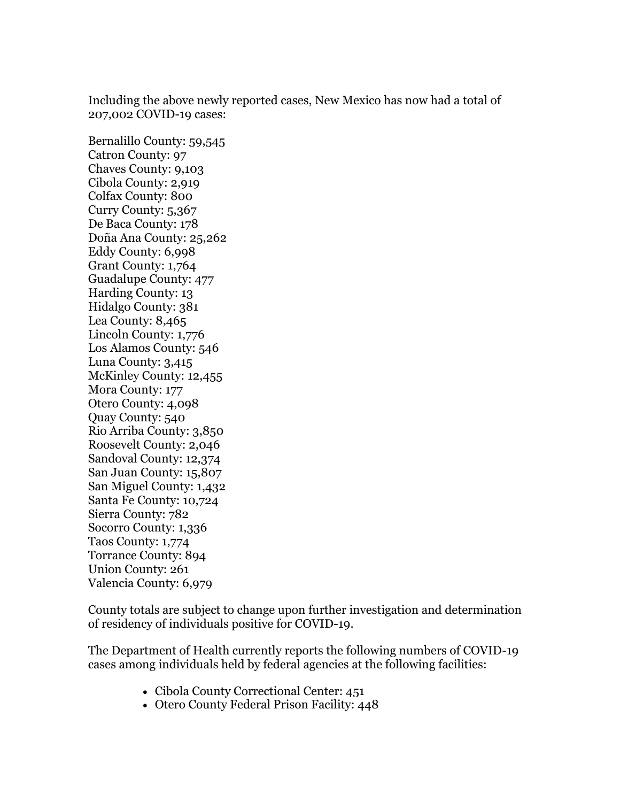Including the above newly reported cases, New Mexico has now had a total of 207,002 COVID-19 cases:

Bernalillo County: 59,545 Catron County: 97 Chaves County: 9,103 Cibola County: 2,919 Colfax County: 800 Curry County: 5,367 De Baca County: 178 Doña Ana County: 25,262 Eddy County: 6,998 Grant County: 1,764 Guadalupe County: 477 Harding County: 13 Hidalgo County: 381 Lea County: 8,465 Lincoln County: 1,776 Los Alamos County: 546 Luna County: 3,415 McKinley County: 12,455 Mora County: 177 Otero County: 4,098 Quay County: 540 Rio Arriba County: 3,850 Roosevelt County: 2,046 Sandoval County: 12,374 San Juan County: 15,807 San Miguel County: 1,432 Santa Fe County: 10,724 Sierra County: 782 Socorro County: 1,336 Taos County: 1,774 Torrance County: 894 Union County: 261 Valencia County: 6,979

County totals are subject to change upon further investigation and determination of residency of individuals positive for COVID-19.

The Department of Health currently reports the following numbers of COVID-19 cases among individuals held by federal agencies at the following facilities:

- Cibola County Correctional Center: 451
- Otero County Federal Prison Facility: 448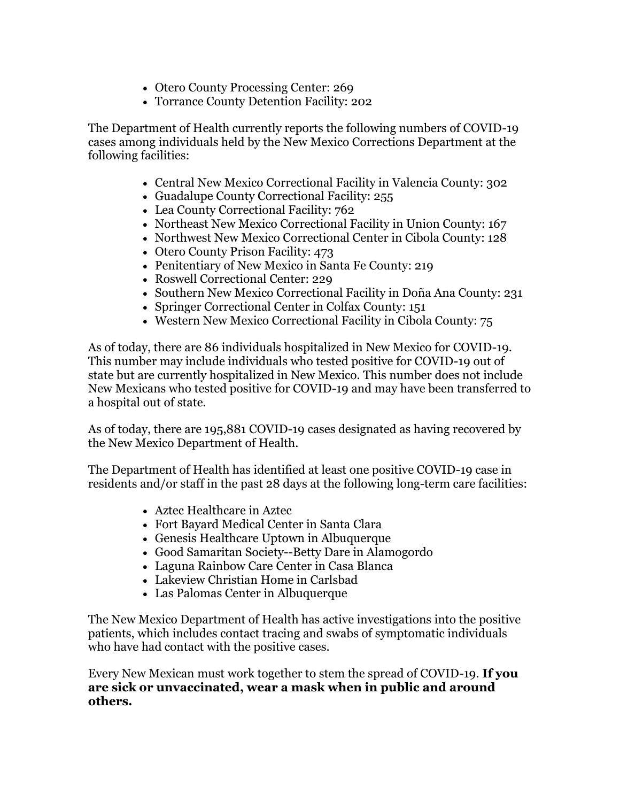- Otero County Processing Center: 269
- Torrance County Detention Facility: 202

The Department of Health currently reports the following numbers of COVID-19 cases among individuals held by the New Mexico Corrections Department at the following facilities:

- Central New Mexico Correctional Facility in Valencia County: 302
- Guadalupe County Correctional Facility: 255
- Lea County Correctional Facility: 762
- Northeast New Mexico Correctional Facility in Union County: 167
- Northwest New Mexico Correctional Center in Cibola County: 128
- Otero County Prison Facility: 473
- Penitentiary of New Mexico in Santa Fe County: 219
- Roswell Correctional Center: 229
- Southern New Mexico Correctional Facility in Doña Ana County: 231
- Springer Correctional Center in Colfax County: 151
- Western New Mexico Correctional Facility in Cibola County: 75

As of today, there are 86 individuals hospitalized in New Mexico for COVID-19. This number may include individuals who tested positive for COVID-19 out of state but are currently hospitalized in New Mexico. This number does not include New Mexicans who tested positive for COVID-19 and may have been transferred to a hospital out of state.

As of today, there are 195,881 COVID-19 cases designated as having recovered by the New Mexico Department of Health.

The Department of Health has identified at least one positive COVID-19 case in residents and/or staff in the past 28 days at the following long-term care facilities:

- Aztec Healthcare in Aztec
- Fort Bayard Medical Center in Santa Clara
- Genesis Healthcare Uptown in Albuquerque
- Good Samaritan Society--Betty Dare in Alamogordo
- Laguna Rainbow Care Center in Casa Blanca
- Lakeview Christian Home in Carlsbad
- Las Palomas Center in Albuquerque

The New Mexico Department of Health has active investigations into the positive patients, which includes contact tracing and swabs of symptomatic individuals who have had contact with the positive cases.

Every New Mexican must work together to stem the spread of COVID-19. **If you are sick or unvaccinated, wear a mask when in public and around others.**